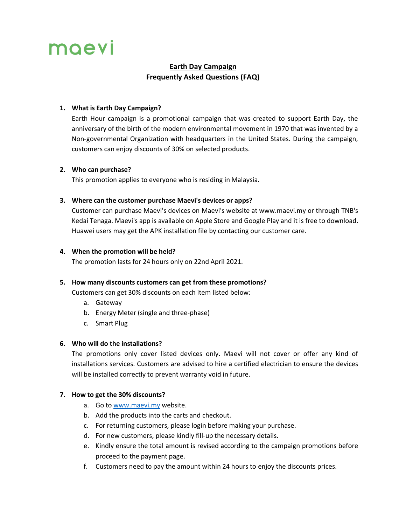# moevi

# **Earth Day Campaign Frequently Asked Questions (FAQ)**

## **1. What is Earth Day Campaign?**

Earth Hour campaign is a promotional campaign that was created to support Earth Day, the anniversary of the birth of the modern environmental movement in 1970 that was invented by a Non-governmental Organization with headquarters in the United States. During the campaign, customers can enjoy discounts of 30% on selected products.

#### **2. Who can purchase?**

This promotion applies to everyone who is residing in Malaysia.

## **3. Where can the customer purchase Maevi's devices or apps?**

Customer can purchase Maevi's devices on Maevi's website at www.maevi.my or through TNB's Kedai Tenaga. Maevi's app is available on Apple Store and Google Play and it is free to download. Huawei users may get the APK installation file by contacting our customer care.

#### **4. When the promotion will be held?**

The promotion lasts for 24 hours only on 22nd April 2021.

## **5. How many discounts customers can get from these promotions?**

Customers can get 30% discounts on each item listed below:

- a. Gateway
- b. Energy Meter (single and three-phase)
- c. Smart Plug

## **6. Who will do the installations?**

The promotions only cover listed devices only. Maevi will not cover or offer any kind of installations services. Customers are advised to hire a certified electrician to ensure the devices will be installed correctly to prevent warranty void in future.

#### **7. How to get the 30% discounts?**

- a. Go to www.maevi.my website.
- b. Add the products into the carts and checkout.
- c. For returning customers, please login before making your purchase.
- d. For new customers, please kindly fill-up the necessary details.
- e. Kindly ensure the total amount is revised according to the campaign promotions before proceed to the payment page.
- f. Customers need to pay the amount within 24 hours to enjoy the discounts prices.